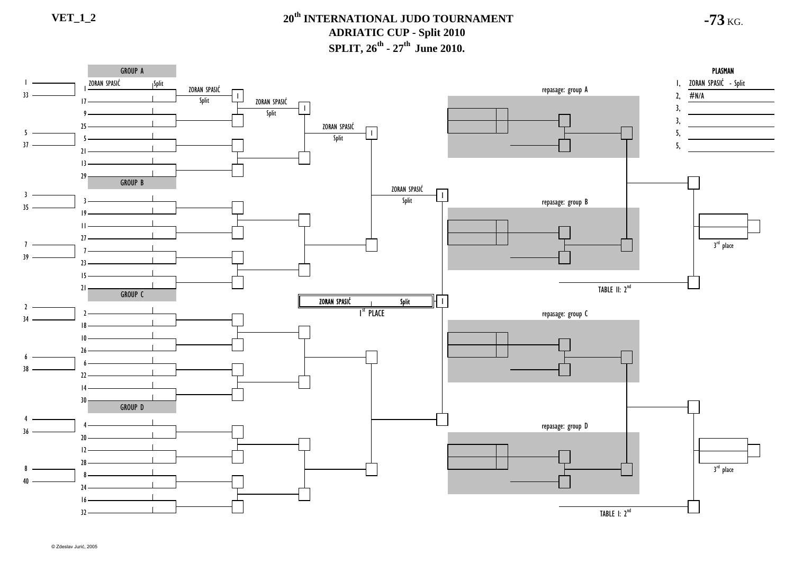**-73** KG.

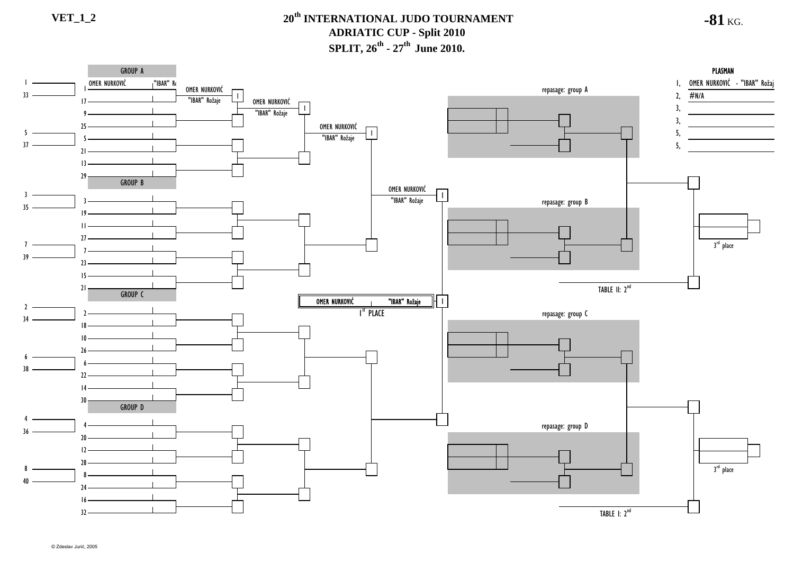### **VET\_1\_2 20th INTERNATIONAL JUDO TOURNAMENTADRIATIC CUP - Split 2010 SPLIT, 26<sup>th</sup> - 27<sup>th</sup> June 2010.**

**-81** KG.

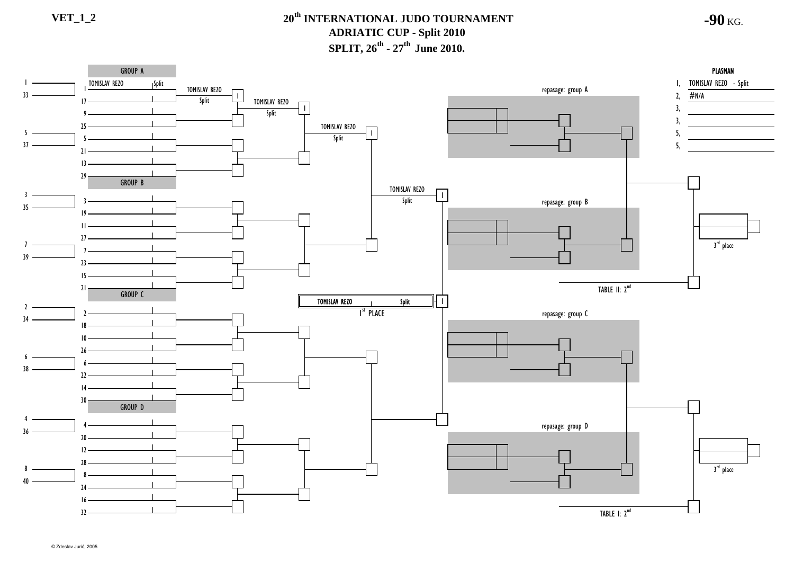**-90** KG.



© Zdeslav Jurić, 2005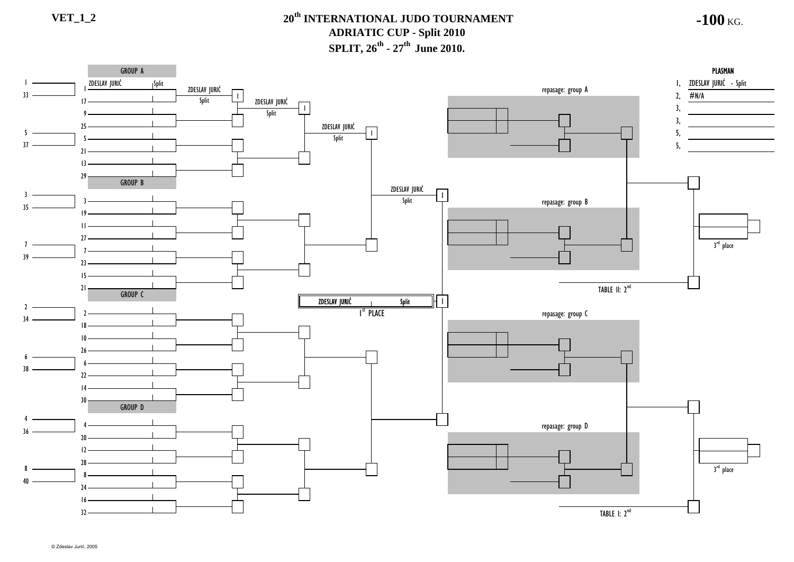### **VET\_1\_2 20th INTERNATIONAL JUDO TOURNAMENTADRIATIC CUP - Split 2010 SPLIT, 26<sup>th</sup> - 27<sup>th</sup> June 2010.**

**-100** KG.

repasage: group B repasage: group C repasage: group D 5, 3<sup>rd</sup> place ZDESLAV JURIĆ TABLE I: 2<sup>nd</sup> 3<sup>rd</sup> place GROUP A GROUP B GROUP CZDESLAV JURIĆ I<sup>st</sup> Place Split PLASMAN 3, 3, 840638 1521  $\mathcal{L}$ 3418າ 395436 12 $20<sub>2</sub>$ 4335 73014 $\mathcal{V}$ 6261032 1624 828GROUP D 1 $\frac{2}{2}$   $\frac{2}{3}$   $\frac{2}{3}$   $\frac{2}{3}$   $\frac{2}{3}$   $\frac{2}{3}$   $\frac{2}{3}$   $\frac{2}{3}$   $\frac{2}{3}$   $\frac{2}{3}$   $\frac{2}{3}$   $\frac{2}{3}$   $\frac{2}{3}$   $\frac{2}{3}$   $\frac{2}{3}$   $\frac{2}{3}$   $\frac{2}{3}$   $\frac{2}{3}$   $\frac{2}{3}$   $\frac{2}{3}$   $\frac{2}{3}$   $\frac{2}{3}$  5, I, ZDESLAV JURIĆ - Split #N/A repasage: group <sup>A</sup> 1, TABLE II: 2<sup>nd</sup> ZDESLAV JURI<sup>Ć</sup> Split ZDESLAV JURIĆ Split 1ZDESLAV JURIĆ<br>Split 7 $23 10 -$ 11 $27$ 29 1333 $21 -$ 5259 $17 -$ 37 Split Split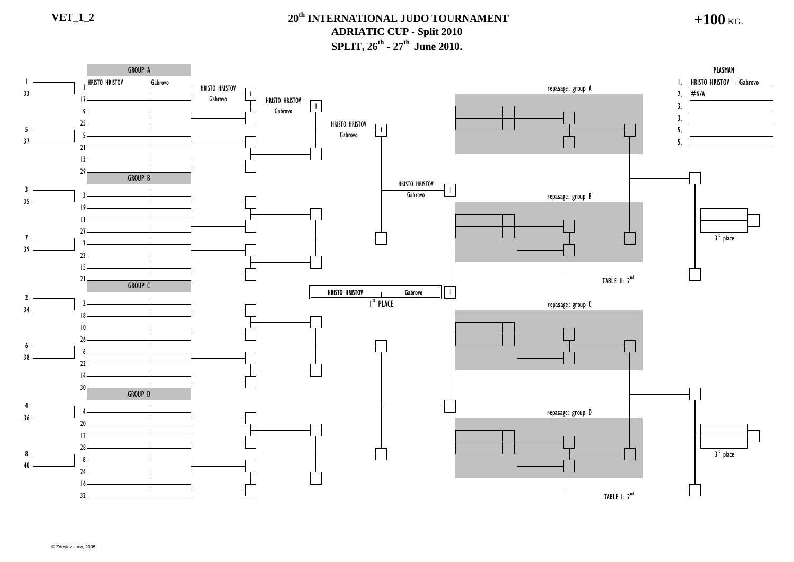#### **VET\_1\_2 20th INTERNATIONAL JUDO TOURNAMENT ADRIATIC CUP - Split 2010 SPLIT, 26<sup>th</sup> - 27<sup>th</sup> June 2010.**

**+100** KG.

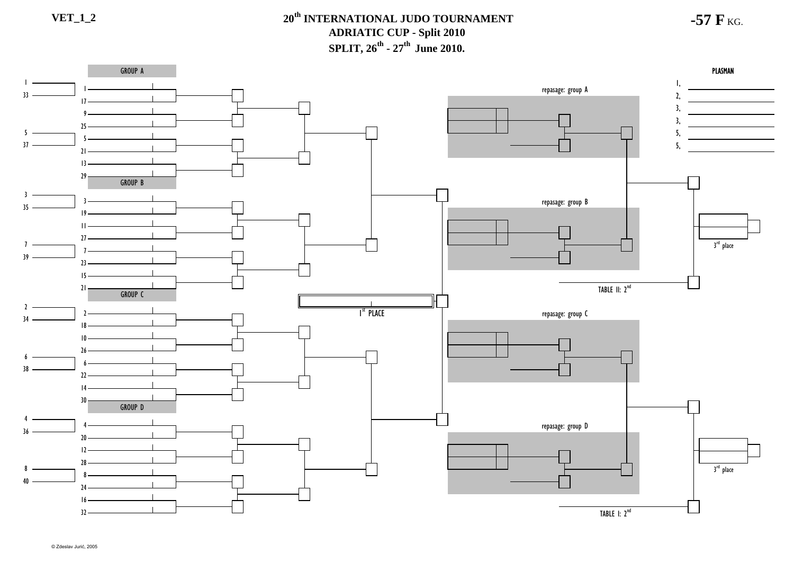**-57 F** KG.

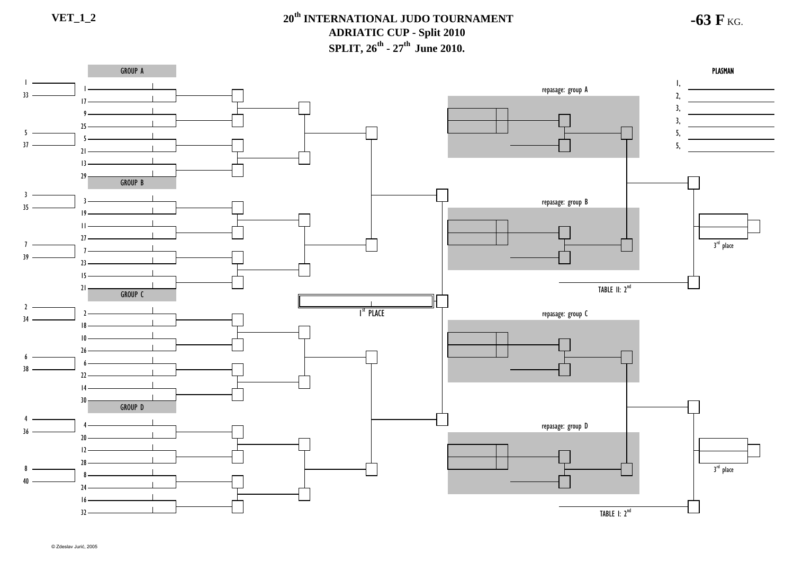**-63 F** KG.

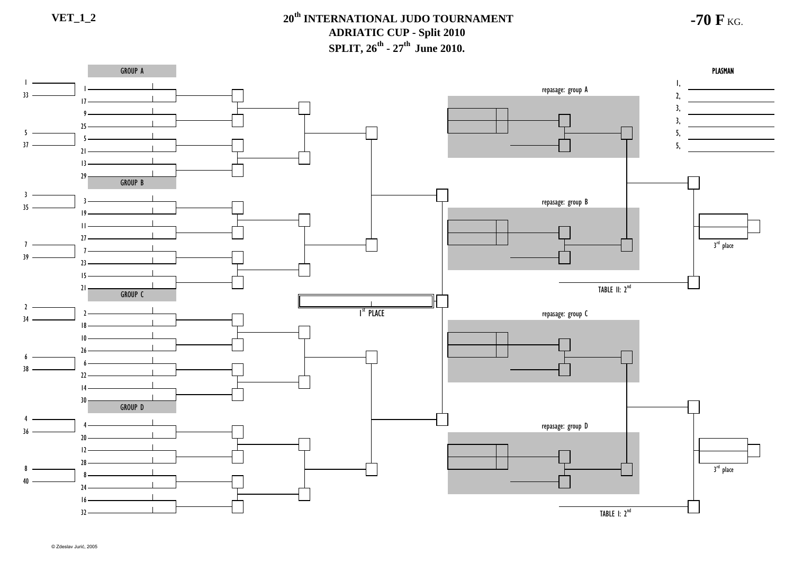**-70 F** KG.